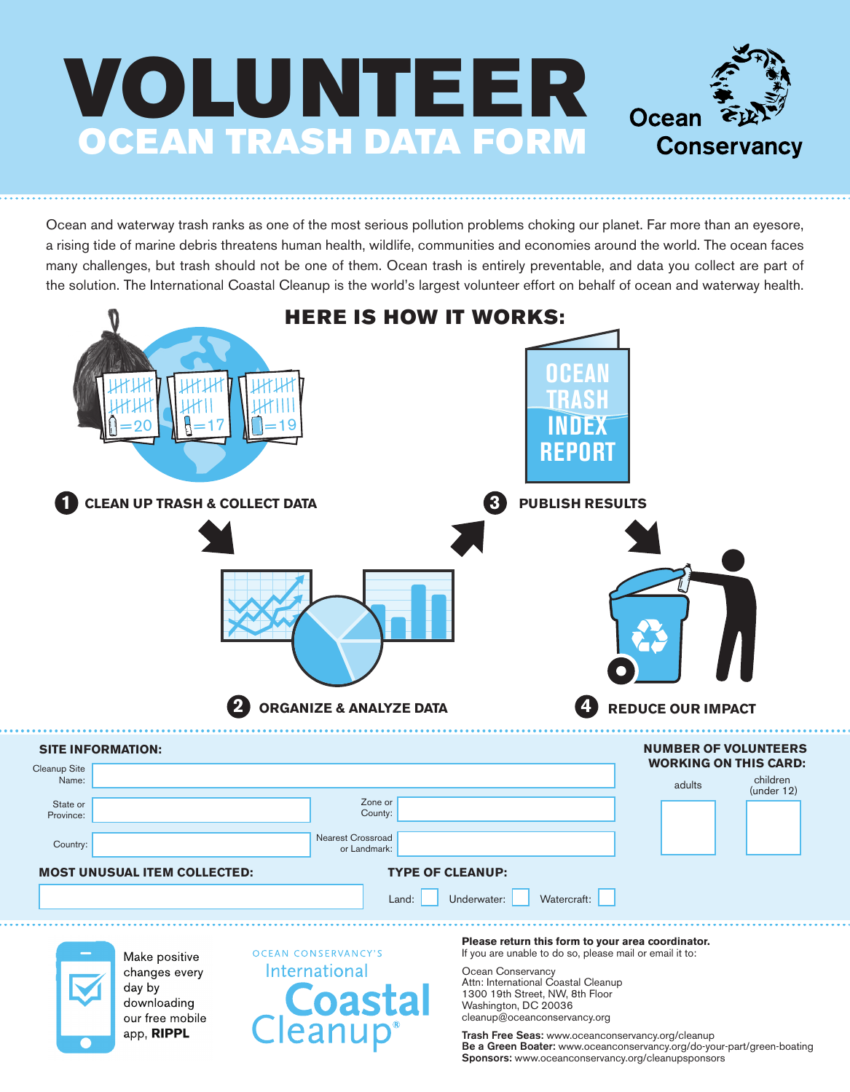

Ocean and waterway trash ranks as one of the most serious pollution problems choking our planet. Far more than an eyesore, a rising tide of marine debris threatens human health, wildlife, communities and economies around the world. The ocean faces many challenges, but trash should not be one of them. Ocean trash is entirely preventable, and data you collect are part of the solution. The International Coastal Cleanup is the world's largest volunteer effort on behalf of ocean and waterway health.